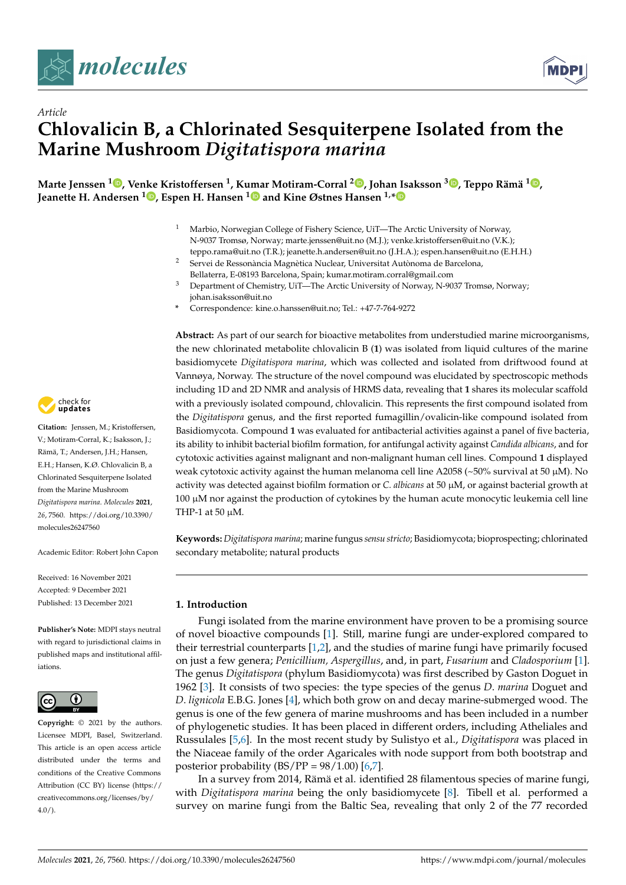

*Article*



# **Chlovalicin B, a Chlorinated Sesquiterpene Isolated from the Marine Mushroom** *Digitatispora marina*

**Marte Jenssen <sup>1</sup> [,](https://orcid.org/0000-0001-7563-0005) Venke Kristoffersen <sup>1</sup> , Kumar Motiram-Corral <sup>2</sup> [,](https://orcid.org/0000-0002-6965-3881) Johan Isaksson <sup>3</sup> [,](https://orcid.org/0000-0001-6287-7594) Teppo Rämä <sup>1</sup> [,](https://orcid.org/0000-0001-8111-8075) Jeanette H. Andersen <sup>1</sup> [,](https://orcid.org/0000-0002-6059-060X) Espen H. Hansen [1](https://orcid.org/0000-0003-0354-986X) and Kine Østnes Hansen 1,[\\*](https://orcid.org/0000-0002-9023-1958)**

- <sup>1</sup> Marbio, Norwegian College of Fishery Science, UiT—The Arctic University of Norway, N-9037 Tromsø, Norway; marte.jenssen@uit.no (M.J.); venke.kristoffersen@uit.no (V.K.); teppo.rama@uit.no (T.R.); jeanette.h.andersen@uit.no (J.H.A.); espen.hansen@uit.no (E.H.H.)
- <sup>2</sup> Servei de Ressonància Magnètica Nuclear, Universitat Autònoma de Barcelona, Bellaterra, E-08193 Barcelona, Spain; kumar.motiram.corral@gmail.com
- <sup>3</sup> Department of Chemistry, UiT—The Arctic University of Norway, N-9037 Tromsø, Norway; johan.isaksson@uit.no
- **\*** Correspondence: kine.o.hanssen@uit.no; Tel.: +47-7-764-9272

**Abstract:** As part of our search for bioactive metabolites from understudied marine microorganisms, the new chlorinated metabolite chlovalicin B (**1**) was isolated from liquid cultures of the marine basidiomycete *Digitatispora marina*, which was collected and isolated from driftwood found at Vannøya, Norway. The structure of the novel compound was elucidated by spectroscopic methods including 1D and 2D NMR and analysis of HRMS data, revealing that **1** shares its molecular scaffold with a previously isolated compound, chlovalicin. This represents the first compound isolated from the *Digitatispora* genus, and the first reported fumagillin/ovalicin-like compound isolated from Basidiomycota. Compound **1** was evaluated for antibacterial activities against a panel of five bacteria, its ability to inhibit bacterial biofilm formation, for antifungal activity against *Candida albicans*, and for cytotoxic activities against malignant and non-malignant human cell lines. Compound **1** displayed weak cytotoxic activity against the human melanoma cell line A2058 ( $\sim$ 50% survival at 50  $\mu$ M). No activity was detected against biofilm formation or *C. albicans* at 50 µM, or against bacterial growth at 100 µM nor against the production of cytokines by the human acute monocytic leukemia cell line THP-1 at 50 µM.

**Keywords:** *Digitatispora marina*; marine fungus *sensu stricto*; Basidiomycota; bioprospecting; chlorinated secondary metabolite; natural products

## **1. Introduction**

Fungi isolated from the marine environment have proven to be a promising source of novel bioactive compounds [\[1\]](#page-7-0). Still, marine fungi are under-explored compared to their terrestrial counterparts [\[1,](#page-7-0)[2\]](#page-7-1), and the studies of marine fungi have primarily focused on just a few genera; *Penicillium, Aspergillus*, and, in part, *Fusarium* and *Cladosporium* [\[1\]](#page-7-0). The genus *Digitatispora* (phylum Basidiomycota) was first described by Gaston Doguet in 1962 [\[3\]](#page-7-2). It consists of two species: the type species of the genus *D*. *marina* Doguet and *D*. *lignicola* E.B.G. Jones [\[4\]](#page-7-3), which both grow on and decay marine-submerged wood. The genus is one of the few genera of marine mushrooms and has been included in a number of phylogenetic studies. It has been placed in different orders, including Atheliales and Russulales [\[5](#page-7-4)[,6\]](#page-7-5). In the most recent study by Sulistyo et al., *Digitatispora* was placed in the Niaceae family of the order Agaricales with node support from both bootstrap and posterior probability  $(BS/PP = 98/1.00)$  [\[6](#page-7-5)[,7\]](#page-7-6).

In a survey from 2014, Rämä et al. identified 28 filamentous species of marine fungi, with *Digitatispora marina* being the only basidiomycete [\[8\]](#page-7-7). Tibell et al. performed a survey on marine fungi from the Baltic Sea, revealing that only 2 of the 77 recorded



**Citation:** Jenssen, M.; Kristoffersen, V.; Motiram-Corral, K.; Isaksson, J.; Rämä, T.; Andersen, J.H.; Hansen, E.H.; Hansen, K.Ø. Chlovalicin B, a Chlorinated Sesquiterpene Isolated from the Marine Mushroom *Digitatispora marina*. *Molecules* **2021**, *26*, 7560. [https://doi.org/10.3390/](https://doi.org/10.3390/molecules26247560) [molecules26247560](https://doi.org/10.3390/molecules26247560)

Academic Editor: Robert John Capon

Received: 16 November 2021 Accepted: 9 December 2021 Published: 13 December 2021

**Publisher's Note:** MDPI stays neutral with regard to jurisdictional claims in published maps and institutional affiliations.



**Copyright:** © 2021 by the authors. Licensee MDPI, Basel, Switzerland. This article is an open access article distributed under the terms and conditions of the Creative Commons Attribution (CC BY) license (https:/[/](https://creativecommons.org/licenses/by/4.0/) [creativecommons.org/licenses/by/](https://creativecommons.org/licenses/by/4.0/) 4.0/).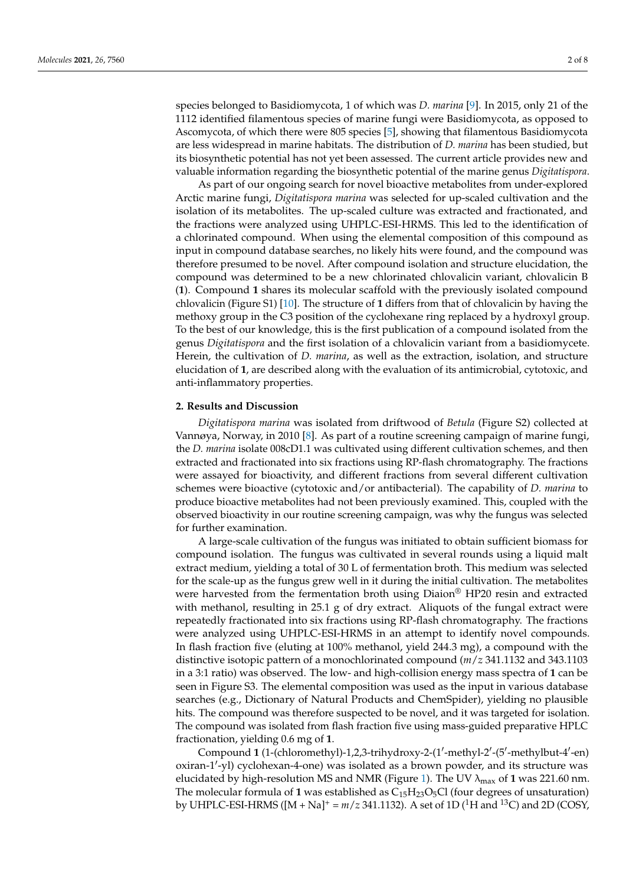species belonged to Basidiomycota, 1 of which was *D. marina* [\[9\]](#page-7-8). In 2015, only 21 of the 1112 identified filamentous species of marine fungi were Basidiomycota, as opposed to Ascomycota, of which there were 805 species [\[5\]](#page-7-4), showing that filamentous Basidiomycota are less widespread in marine habitats. The distribution of *D. marina* has been studied, but its biosynthetic potential has not yet been assessed. The current article provides new and valuable information regarding the biosynthetic potential of the marine genus *Digitatispora*.

As part of our ongoing search for novel bioactive metabolites from under-explored Arctic marine fungi, *Digitatispora marina* was selected for up-scaled cultivation and the isolation of its metabolites. The up-scaled culture was extracted and fractionated, and the fractions were analyzed using UHPLC-ESI-HRMS. This led to the identification of a chlorinated compound. When using the elemental composition of this compound as input in compound database searches, no likely hits were found, and the compound was therefore presumed to be novel. After compound isolation and structure elucidation, the compound was determined to be a new chlorinated chlovalicin variant, chlovalicin B (**1**). Compound **1** shares its molecular scaffold with the previously isolated compound chlovalicin (Figure S1) [\[10\]](#page-7-9). The structure of **1** differs from that of chlovalicin by having the methoxy group in the C3 position of the cyclohexane ring replaced by a hydroxyl group. To the best of our knowledge, this is the first publication of a compound isolated from the genus *Digitatispora* and the first isolation of a chlovalicin variant from a basidiomycete. Herein, the cultivation of *D. marina*, as well as the extraction, isolation, and structure elucidation of **1**, are described along with the evaluation of its antimicrobial, cytotoxic, and anti-inflammatory properties.

## **2. Results and Discussion**

*Digitatispora marina* was isolated from driftwood of *Betula* (Figure S2) collected at Vannøya, Norway, in 2010 [\[8\]](#page-7-7). As part of a routine screening campaign of marine fungi, the *D. marina* isolate 008cD1.1 was cultivated using different cultivation schemes, and then extracted and fractionated into six fractions using RP-flash chromatography. The fractions were assayed for bioactivity, and different fractions from several different cultivation schemes were bioactive (cytotoxic and/or antibacterial). The capability of *D. marina* to produce bioactive metabolites had not been previously examined. This, coupled with the observed bioactivity in our routine screening campaign, was why the fungus was selected for further examination.

A large-scale cultivation of the fungus was initiated to obtain sufficient biomass for compound isolation. The fungus was cultivated in several rounds using a liquid malt extract medium, yielding a total of 30 L of fermentation broth. This medium was selected for the scale-up as the fungus grew well in it during the initial cultivation. The metabolites were harvested from the fermentation broth using  $Diaion^{\circledR}$  HP20 resin and extracted with methanol, resulting in 25.1 g of dry extract. Aliquots of the fungal extract were repeatedly fractionated into six fractions using RP-flash chromatography. The fractions were analyzed using UHPLC-ESI-HRMS in an attempt to identify novel compounds. In flash fraction five (eluting at 100% methanol, yield 244.3 mg), a compound with the distinctive isotopic pattern of a monochlorinated compound (*m*/*z* 341.1132 and 343.1103 in a 3:1 ratio) was observed. The low- and high-collision energy mass spectra of **1** can be seen in Figure S3. The elemental composition was used as the input in various database searches (e.g., Dictionary of Natural Products and ChemSpider), yielding no plausible hits. The compound was therefore suspected to be novel, and it was targeted for isolation. The compound was isolated from flash fraction five using mass-guided preparative HPLC fractionation, yielding 0.6 mg of **1**.

Compound 1 (1-(chloromethyl)-1,2,3-trihydroxy-2-(1'-methyl-2'-(5'-methylbut-4'-en) oxiran-1'-yl) cyclohexan-4-one) was isolated as a brown powder, and its structure was elucidated by high-resolution MS and NMR (Figure [1\)](#page-2-0). The UV λmax of **1** was 221.60 nm. The molecular formula of 1 was established as  $C_{15}H_{23}O_5Cl$  (four degrees of unsaturation) by UHPLC-ESI-HRMS ( $[M + Na]$ <sup>+</sup> =  $m/z$  341.1132). A set of 1D (<sup>1</sup>H and <sup>13</sup>C) and 2D (COSY,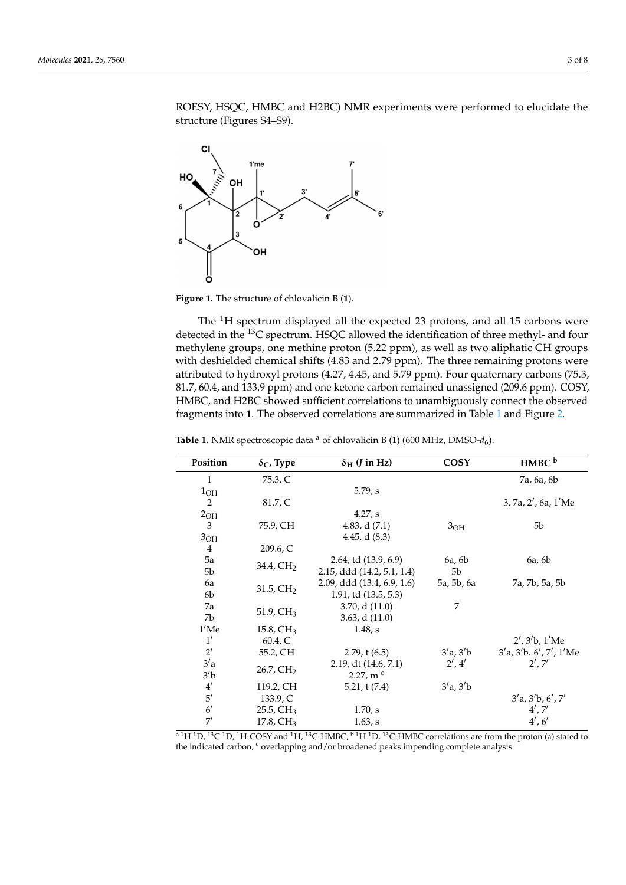<span id="page-2-0"></span>

**Figure 1.** The structure of chlovalicin B (**1**). **Figure 1.** The structure of chlovalicin B (**1**).

The <sup>1</sup>H spectrum displayed all the expected 23 protons, and all 15 carbons were detected in the <sup>13</sup>C spectrum. HSQC allowed the identification of three methyl- and four methylene groups, one methine proton (5.22 ppm), as well as two aliphatic CH groups methylene groups, one methine proton (5.22 ppm), as well as two aliphatic CH groups with deshielded chemical shifts (4.83 and 2.79 ppm). The three remaining protons were with deshielded chemical shifts (4.83 and 2.79 ppm). The three remaining protons were attributed to hydroxyl protons (4.27, 4.45, and 5.79 ppm). Four quaternary carbons (75.3, attributed to hydroxyl protons (4.27, 4.45, and 5.79 ppm). Four quaternary carbons (75.3, 81.7, 60.4, and 133.9 ppm) and one ketone carbon remained unassigned (209.6 ppm). 81.7, 60.4, and 133.9 ppm) and one ketone carbon remained unassigned (209.6 ppm). COSY, HMBC, and H2BC showed sufficient correlations to unambiguously connect the observed fragments into **1**. The observed correlations are summa[riz](#page-2-1)ed in Table 1 and Figure [2.](#page-3-0)

| Position        | $\delta_{\rm C}$ , Type  | $\delta_{\rm H}$ ( <i>J</i> in Hz) | COSY            | HMBC <sup>b</sup>                     |
|-----------------|--------------------------|------------------------------------|-----------------|---------------------------------------|
| $\mathbf{1}$    | 75.3, C                  |                                    |                 | 7a, 6a, 6b                            |
| $1_{OH}$        |                          | $5.79$ , s                         |                 |                                       |
| 2               | 81.7, C                  |                                    |                 | 3, 7a, 2', 6a, 1'Me                   |
| 2 <sub>OH</sub> |                          | 4.27, s                            |                 |                                       |
| $\overline{3}$  | 75.9, CH                 | 4.83, d $(7.1)$                    | 3 <sub>OH</sub> | 5b                                    |
| 3 <sub>OH</sub> |                          | 4.45, d $(8.3)$                    |                 |                                       |
| 4               | 209.6, C                 |                                    |                 |                                       |
| 5a              | 34.4, $CH2$              | 2.64, td (13.9, 6.9)               | 6a, 6b          | 6a, 6b                                |
| 5b              |                          | 2.15, ddd (14.2, 5.1, 1.4)         | 5b              |                                       |
| 6a              | $31.5$ , CH <sub>2</sub> | 2.09, ddd (13.4, 6.9, 1.6)         | 5a, 5b, 6a      | 7a, 7b, 5a, 5b                        |
| 6b              |                          | 1.91, td (13.5, 5.3)               |                 |                                       |
| 7a              | $51.9$ , CH <sub>3</sub> | $3.70$ , d $(11.0)$                | 7               |                                       |
| 7b              |                          | $3.63$ , d $(11.0)$                |                 |                                       |
| $1'$ Me         | $15.8$ , CH <sub>3</sub> | 1.48, s                            |                 |                                       |
| 1'              | 60.4, C                  |                                    |                 | 2', 3'b, 1'Me                         |
| $2^{\prime}$    | 55.2, CH                 | $2.79$ , t $(6.5)$                 | 3'a, 3'b        | $3'a$ , $3'b$ . $6'$ , $7'$ , $1'$ Me |
| 3'a             | $26.7$ , $CH2$           | 2.19, dt (14.6, 7.1)               | 2', 4'          | 2', 7'                                |
| 3'b             |                          | 2.27, m $\rm{c}$                   |                 |                                       |
| 4'              | 119.2, CH                | 5.21, t(7.4)                       | 3'a, 3'b        |                                       |
| 5'              | 133.9, C                 |                                    |                 | 3'a, 3'b, 6', 7'                      |
| $6^{\prime}$    | $25.5, \mathrm{CH}_3$    | 1.70, s                            |                 | 4', 7'                                |
| 7'              | $17.8$ , CH <sub>3</sub> | 1.63, s                            |                 | 4', 6'                                |

<span id="page-2-1"></span>**Table 1.** NMR spectroscopic data <sup>a</sup> of chlovalicin B (1) (600 MHz, DMSO- $d_6$ ).

<sup>a 1</sup>H <sup>1</sup>D, <sup>13</sup>C <sup>1</sup>D, <sup>1</sup>H-COSY and <sup>1</sup>H, <sup>13</sup>C-HMBC, <sup>b 1</sup>H <sup>1</sup>D, <sup>13</sup>C-HMBC correlations are from the proton (a) stated to the indicated carbon, <sup>c</sup> overlapping and/or broadened peaks impending complete analysis.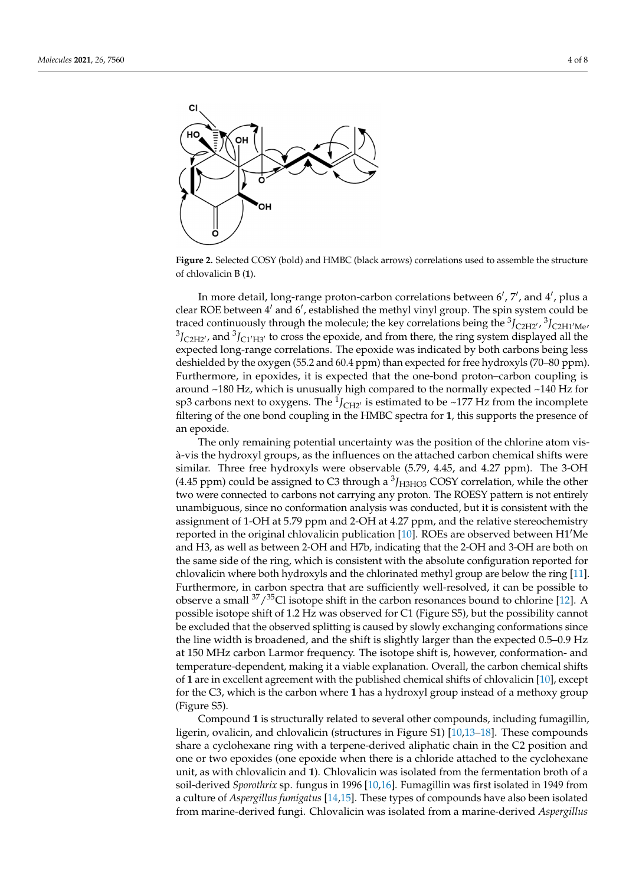<span id="page-3-0"></span>

**Figure 2.** Selected COSY (bold) and HMBC (black arrows) correlations used to assemble the **Figure 2.** Selected COSY (bold) and HMBC (black arrows) correlations used to assemble the structure structure of chlovalicin B (**1**). of chlovalicin B (**1**).

observed fragments into **1**. The observed correlations are summarized in Table 1 and

In more detail, long-range proton-carbon correlations between  $6'$ ,  $7'$ , and  $4'$ , plus a clear ROE between 4' and 6', established the methyl vinyl group. The spin system could be traced continuously through the molecule; the key correlations being the <sup>3</sup>*J<sub>C2H2</sub>'*, <sup>3</sup>*J<sub>C2H1</sub>'*<sub>Me</sub>,  ${}^{3}J_{\text{C2H2'}}$ , and  ${}^{3}J_{\text{C1'H3'}}$  to cross the epoxide, and from there, the ring system displayed all the expected long‐range correlations. The epoxide was indicated by both carbons being less expected long-range correlations. The epoxide was indicated by both carbons being less deshielded by the oxygen (55.2 and 60.4 ppm) than expected for free hydroxyls (70–80 deshielded by the oxygen (55.2 and 60.4 ppm) than expected for free hydroxyls (70–80 ppm). Furthermore, in epoxides, it is expected that the one-bond proton–carbon coupling is around ~180 Hz, which is unusually high compared to the normally expected ~140 Hz for sp3 carbons next to oxygens. The  $^1J_{\text{CH2'}}$  is estimated to be ~177 Hz from the incomplete filtering of the one bond coupling in the HMBC spectra for **1**, this supports the presence filtering of the one bond coupling in the HMBC spectra for **1**, this supports the presence of an epoxide.

The only remaining potential uncertainty was the position of the chlorine atom visà-vis the hydroxyl groups, as the influences on the attached carbon chemical shifts were similar. Three free hydroxyls were observable (5.79, 4.45, and 4.27 ppm). The 3-OH  $(4.45$  ppm) could be assigned to C3 through a  $^{3}$  $J_{H3HO3}$  COSY correlation, while the other two were connected to carbons not carrying any proton. The ROESY pattern is not entirely unambiguous, since no conformation analysis was conducted, but it is consistent with the assignment of 1-OH at 5.79 ppm and 2-OH at 4.27 ppm, and the relative stereochemistry reported in the original chlovalicin publication  $[10]$ . ROEs are observed between H1<sup> $\prime$ </sup>Me and H3, as well as between 2-OH and H7b, indicating that the 2-OH and 3-OH are both on the same side of the ring, which is consistent with the absolute configuration reported for chlovalicin where both hydroxyls and the chlorinated methyl group are below the ring [\[11\]](#page-7-10). Furthermore, in carbon spectra that are sufficiently well-resolved, it can be possible to observe a small  $37/35$ Cl isotope shift in the carbon resonances bound to chlorine [\[12\]](#page-7-11). A possible isotope shift of 1.2 Hz was observed for C1 (Figure S5), but the possibility cannot be excluded that the observed splitting is caused by slowly exchanging conformations since the line width is broadened, and the shift is slightly larger than the expected 0.5–0.9 Hz at 150 MHz carbon Larmor frequency. The isotope shift is, however, conformation- and temperature-dependent, making it a viable explanation. Overall, the carbon chemical shifts of **1** are in excellent agreement with the published chemical shifts of chlovalicin [\[10\]](#page-7-9), except for the C3, which is the carbon where **1** has a hydroxyl group instead of a methoxy group (Figure S5).

Compound **1** is structurally related to several other compounds, including fumagillin, ligerin, ovalicin, and chlovalicin (structures in Figure S1) [\[10](#page-7-9)[,13](#page-7-12)[–18\]](#page-7-13). These compounds share a cyclohexane ring with a terpene-derived aliphatic chain in the C2 position and one or two epoxides (one epoxide when there is a chloride attached to the cyclohexane unit, as with chlovalicin and **1**). Chlovalicin was isolated from the fermentation broth of a soil-derived *Sporothrix* sp. fungus in 1996 [\[10](#page-7-9)[,16\]](#page-7-14). Fumagillin was first isolated in 1949 from a culture of *Aspergillus fumigatus* [\[14,](#page-7-15)[15\]](#page-7-16). These types of compounds have also been isolated from marine-derived fungi. Chlovalicin was isolated from a marine-derived *Aspergillus*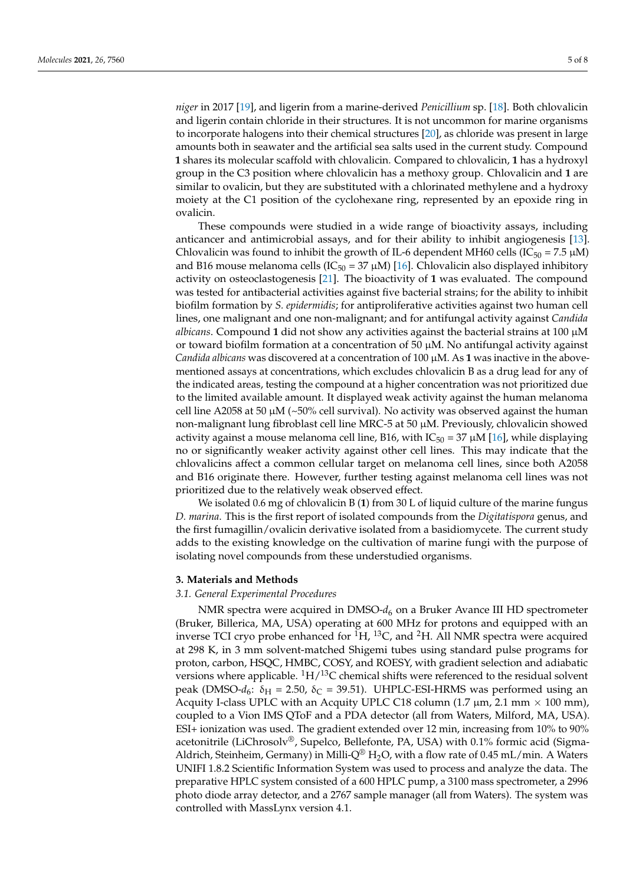*niger* in 2017 [\[19\]](#page-7-17), and ligerin from a marine-derived *Penicillium* sp. [\[18\]](#page-7-13). Both chlovalicin and ligerin contain chloride in their structures. It is not uncommon for marine organisms to incorporate halogens into their chemical structures [\[20\]](#page-7-18), as chloride was present in large amounts both in seawater and the artificial sea salts used in the current study. Compound **1** shares its molecular scaffold with chlovalicin. Compared to chlovalicin, **1** has a hydroxyl group in the C3 position where chlovalicin has a methoxy group. Chlovalicin and **1** are similar to ovalicin, but they are substituted with a chlorinated methylene and a hydroxy moiety at the C1 position of the cyclohexane ring, represented by an epoxide ring in ovalicin.

These compounds were studied in a wide range of bioactivity assays, including anticancer and antimicrobial assays, and for their ability to inhibit angiogenesis [\[13\]](#page-7-12). Chlovalicin was found to inhibit the growth of IL-6 dependent MH60 cells (IC<sub>50</sub> = 7.5  $\mu$ M) and B16 mouse melanoma cells (IC<sub>50</sub> = 37  $\mu$ M) [\[16\]](#page-7-14). Chlovalicin also displayed inhibitory activity on osteoclastogenesis [\[21\]](#page-7-19). The bioactivity of **1** was evaluated. The compound was tested for antibacterial activities against five bacterial strains; for the ability to inhibit biofilm formation by *S. epidermidis*; for antiproliferative activities against two human cell lines, one malignant and one non-malignant; and for antifungal activity against *Candida albicans*. Compound **1** did not show any activities against the bacterial strains at 100 µM or toward biofilm formation at a concentration of 50  $\mu$ M. No antifungal activity against *Candida albicans* was discovered at a concentration of 100 µM. As **1** was inactive in the abovementioned assays at concentrations, which excludes chlovalicin B as a drug lead for any of the indicated areas, testing the compound at a higher concentration was not prioritized due to the limited available amount. It displayed weak activity against the human melanoma cell line A2058 at 50  $\mu$ M (~50% cell survival). No activity was observed against the human non-malignant lung fibroblast cell line MRC-5 at 50  $\mu$ M. Previously, chlovalicin showed activity against a mouse melanoma cell line, B16, with  $IC_{50} = 37 \mu M$  [\[16\]](#page-7-14), while displaying no or significantly weaker activity against other cell lines. This may indicate that the chlovalicins affect a common cellular target on melanoma cell lines, since both A2058 and B16 originate there. However, further testing against melanoma cell lines was not prioritized due to the relatively weak observed effect.

We isolated 0.6 mg of chlovalicin B (**1**) from 30 L of liquid culture of the marine fungus *D. marina*. This is the first report of isolated compounds from the *Digitatispora* genus, and the first fumagillin/ovalicin derivative isolated from a basidiomycete. The current study adds to the existing knowledge on the cultivation of marine fungi with the purpose of isolating novel compounds from these understudied organisms.

#### **3. Materials and Methods**

## *3.1. General Experimental Procedures*

NMR spectra were acquired in DMSO- $d_6$  on a Bruker Avance III HD spectrometer (Bruker, Billerica, MA, USA) operating at 600 MHz for protons and equipped with an inverse TCI cryo probe enhanced for  ${}^{1}H$ ,  ${}^{13}C$ , and  ${}^{2}H$ . All NMR spectra were acquired at 298 K, in 3 mm solvent-matched Shigemi tubes using standard pulse programs for proton, carbon, HSQC, HMBC, COSY, and ROESY, with gradient selection and adiabatic versions where applicable.  ${}^{1}H/{}^{13}C$  chemical shifts were referenced to the residual solvent peak (DMSO- $d_6$ :  $\delta_H$  = 2.50,  $\delta_C$  = 39.51). UHPLC-ESI-HRMS was performed using an Acquity I-class UPLC with an Acquity UPLC C18 column (1.7  $\mu$ m, 2.1 mm  $\times$  100 mm), coupled to a Vion IMS QToF and a PDA detector (all from Waters, Milford, MA, USA). ESI+ ionization was used. The gradient extended over 12 min, increasing from 10% to 90% acetonitrile (LiChrosolv®, Supelco, Bellefonte, PA, USA) with 0.1% formic acid (Sigma-Aldrich, Steinheim, Germany) in Milli-Q<sup>®</sup> H<sub>2</sub>O, with a flow rate of 0.45 mL/min. A Waters UNIFI 1.8.2 Scientific Information System was used to process and analyze the data. The preparative HPLC system consisted of a 600 HPLC pump, a 3100 mass spectrometer, a 2996 photo diode array detector, and a 2767 sample manager (all from Waters). The system was controlled with MassLynx version 4.1.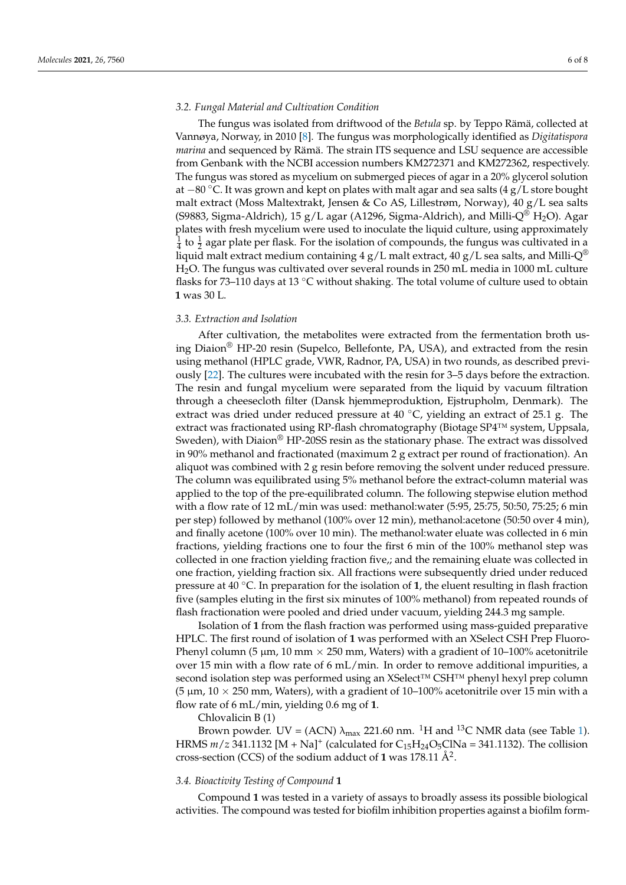## *3.2. Fungal Material and Cultivation Condition*

The fungus was isolated from driftwood of the *Betula* sp. by Teppo Rämä, collected at Vannøya, Norway, in 2010 [\[8\]](#page-7-7). The fungus was morphologically identified as *Digitatispora marina* and sequenced by Rämä. The strain ITS sequence and LSU sequence are accessible from Genbank with the NCBI accession numbers KM272371 and KM272362, respectively. The fungus was stored as mycelium on submerged pieces of agar in a 20% glycerol solution at −80 ◦C. It was grown and kept on plates with malt agar and sea salts (4 g/L store bought malt extract (Moss Maltextrakt, Jensen & Co AS, Lillestrøm, Norway), 40 g/L sea salts (S9883, Sigma-Aldrich), 15 g/L agar (A1296, Sigma-Aldrich), and Milli-Q<sup>®</sup> H<sub>2</sub>O). Agar plates with fresh mycelium were used to inoculate the liquid culture, using approximately  $\frac{1}{4}$  to  $\frac{1}{2}$  agar plate per flask. For the isolation of compounds, the fungus was cultivated in a liquid malt extract medium containing 4 g/L malt extract, 40 g/L sea salts, and Milli- $Q^{\circledR}$ H2O. The fungus was cultivated over several rounds in 250 mL media in 1000 mL culture flasks for 73–110 days at 13  $\degree$ C without shaking. The total volume of culture used to obtain **1** was 30 L.

## *3.3. Extraction and Isolation*

After cultivation, the metabolites were extracted from the fermentation broth using Diaion® HP-20 resin (Supelco, Bellefonte, PA, USA), and extracted from the resin using methanol (HPLC grade, VWR, Radnor, PA, USA) in two rounds, as described previously [\[22\]](#page-7-20). The cultures were incubated with the resin for 3–5 days before the extraction. The resin and fungal mycelium were separated from the liquid by vacuum filtration through a cheesecloth filter (Dansk hjemmeproduktion, Ejstrupholm, Denmark). The extract was dried under reduced pressure at 40  $°C$ , yielding an extract of 25.1 g. The extract was fractionated using RP-flash chromatography (Biotage SP4™ system, Uppsala, Sweden), with Diaion® HP-20SS resin as the stationary phase. The extract was dissolved in 90% methanol and fractionated (maximum 2 g extract per round of fractionation). An aliquot was combined with 2 g resin before removing the solvent under reduced pressure. The column was equilibrated using 5% methanol before the extract-column material was applied to the top of the pre-equilibrated column. The following stepwise elution method with a flow rate of 12 mL/min was used: methanol:water (5:95, 25:75, 50:50, 75:25; 6 min per step) followed by methanol (100% over 12 min), methanol:acetone (50:50 over 4 min), and finally acetone (100% over 10 min). The methanol:water eluate was collected in 6 min fractions, yielding fractions one to four the first 6 min of the 100% methanol step was collected in one fraction yielding fraction five,; and the remaining eluate was collected in one fraction, yielding fraction six. All fractions were subsequently dried under reduced pressure at 40 ◦C. In preparation for the isolation of **1**, the eluent resulting in flash fraction five (samples eluting in the first six minutes of 100% methanol) from repeated rounds of flash fractionation were pooled and dried under vacuum, yielding 244.3 mg sample.

Isolation of **1** from the flash fraction was performed using mass-guided preparative HPLC. The first round of isolation of **1** was performed with an XSelect CSH Prep Fluoro-Phenyl column (5  $\mu$ m, 10 mm  $\times$  250 mm, Waters) with a gradient of 10–100% acetonitrile over 15 min with a flow rate of 6 mL/min. In order to remove additional impurities, a second isolation step was performed using an XSelect™ CSH™ phenyl hexyl prep column (5  $\mu$ m, 10  $\times$  250 mm, Waters), with a gradient of 10–100% acetonitrile over 15 min with a flow rate of 6 mL/min, yielding 0.6 mg of **1**.

Chlovalicin B (1)

Brown powder. UV = (ACN)  $\lambda_{\text{max}}$  221.60 nm. <sup>1</sup>H and <sup>13</sup>C NMR data (see Table [1\)](#page-2-1). HRMS  $m/z$  341.1132 [M + Na]<sup>+</sup> (calculated for  $C_{15}H_{24}O_5C_1Na = 341.1132$ ). The collision cross-section (CCS) of the sodium adduct of  $1$  was  $178.11 \text{ Å}^2$ .

#### *3.4. Bioactivity Testing of Compound* **1**

Compound **1** was tested in a variety of assays to broadly assess its possible biological activities. The compound was tested for biofilm inhibition properties against a biofilm form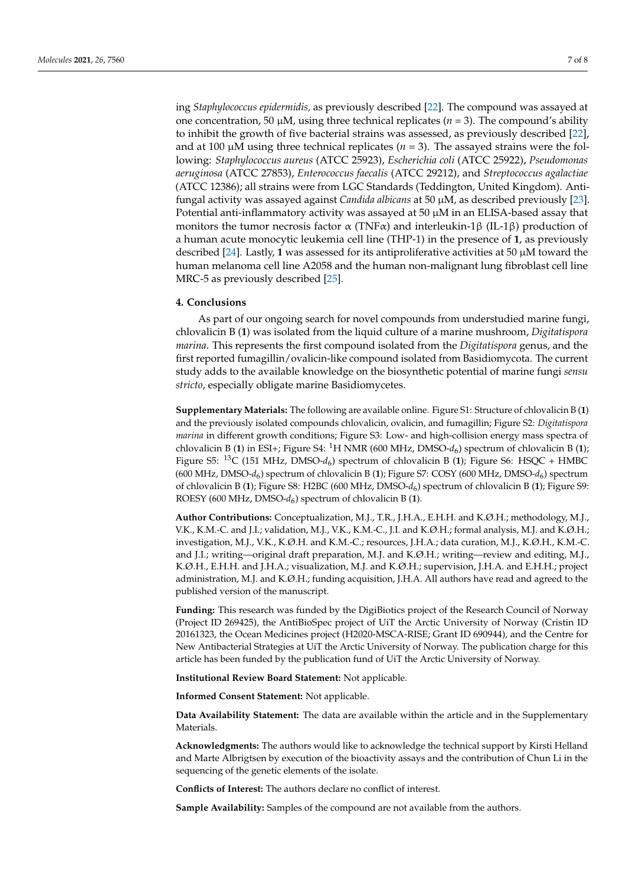ing *Staphylococcus epidermidis,* as previously described [\[22\]](#page-7-20). The compound was assayed at one concentration, 50  $\mu$ M, using three technical replicates ( $n = 3$ ). The compound's ability to inhibit the growth of five bacterial strains was assessed, as previously described [\[22\]](#page-7-20), and at 100  $\mu$ M using three technical replicates ( $n = 3$ ). The assayed strains were the following: *Staphylococcus aureus* (ATCC 25923), *Escherichia coli* (ATCC 25922), *Pseudomonas aeruginosa* (ATCC 27853), *Enterococcus faecalis* (ATCC 29212), and *Streptococcus agalactiae* (ATCC 12386); all strains were from LGC Standards (Teddington, United Kingdom). Antifungal activity was assayed against *Candida albicans* at 50 µM, as described previously [\[23\]](#page-7-21). Potential anti-inflammatory activity was assayed at 50  $\mu$ M in an ELISA-based assay that monitors the tumor necrosis factor  $\alpha$  (TNF $\alpha$ ) and interleukin-1β (IL-1β) production of a human acute monocytic leukemia cell line (THP-1) in the presence of **1**, as previously described [\[24\]](#page-7-22). Lastly, 1 was assessed for its antiproliferative activities at 50  $\mu$ M toward the human melanoma cell line A2058 and the human non-malignant lung fibroblast cell line MRC-5 as previously described [\[25\]](#page-7-23).

#### **4. Conclusions**

As part of our ongoing search for novel compounds from understudied marine fungi, chlovalicin B (**1**) was isolated from the liquid culture of a marine mushroom, *Digitatispora marina*. This represents the first compound isolated from the *Digitatispora* genus, and the first reported fumagillin/ovalicin-like compound isolated from Basidiomycota. The current study adds to the available knowledge on the biosynthetic potential of marine fungi *sensu stricto*, especially obligate marine Basidiomycetes.

**Supplementary Materials:** The following are available online. Figure S1: Structure of chlovalicin B (**1**) and the previously isolated compounds chlovalicin, ovalicin, and fumagillin; Figure S2: *Digitatispora marina* in different growth conditions; Figure S3: Low- and high-collision energy mass spectra of chlovalicin B (**1**) in ESI+; Figure S4: <sup>1</sup>H NMR (600 MHz, DMSO-*d*<sup>6</sup> ) spectrum of chlovalicin B (**1**); Figure S5: <sup>13</sup>C (151 MHz, DMSO-*d*<sup>6</sup> ) spectrum of chlovalicin B (**1**); Figure S6: HSQC + HMBC (600 MHz, DMSO-*d*<sup>6</sup> ) spectrum of chlovalicin B (**1**); Figure S7: COSY (600 MHz, DMSO-*d*<sup>6</sup> ) spectrum of chlovalicin B (**1**); Figure S8: H2BC (600 MHz, DMSO-*d*<sup>6</sup> ) spectrum of chlovalicin B (**1**); Figure S9: ROESY (600 MHz, DMSO-*d*<sup>6</sup> ) spectrum of chlovalicin B (**1**).

**Author Contributions:** Conceptualization, M.J., T.R., J.H.A., E.H.H. and K.Ø.H.; methodology, M.J., V.K., K.M.-C. and J.I.; validation, M.J., V.K., K.M.-C., J.I. and K.Ø.H.; formal analysis, M.J. and K.Ø.H.; investigation, M.J., V.K., K.Ø.H. and K.M.-C.; resources, J.H.A.; data curation, M.J., K.Ø.H., K.M.-C. and J.I.; writing—original draft preparation, M.J. and K.Ø.H.; writing—review and editing, M.J., K.Ø.H., E.H.H. and J.H.A.; visualization, M.J. and K.Ø.H.; supervision, J.H.A. and E.H.H.; project administration, M.J. and K.Ø.H.; funding acquisition, J.H.A. All authors have read and agreed to the published version of the manuscript.

**Funding:** This research was funded by the DigiBiotics project of the Research Council of Norway (Project ID 269425), the AntiBioSpec project of UiT the Arctic University of Norway (Cristin ID 20161323, the Ocean Medicines project (H2020-MSCA-RISE; Grant ID 690944), and the Centre for New Antibacterial Strategies at UiT the Arctic University of Norway. The publication charge for this article has been funded by the publication fund of UiT the Arctic University of Norway.

**Institutional Review Board Statement:** Not applicable.

**Informed Consent Statement:** Not applicable.

**Data Availability Statement:** The data are available within the article and in the Supplementary Materials.

**Acknowledgments:** The authors would like to acknowledge the technical support by Kirsti Helland and Marte Albrigtsen by execution of the bioactivity assays and the contribution of Chun Li in the sequencing of the genetic elements of the isolate.

**Conflicts of Interest:** The authors declare no conflict of interest.

**Sample Availability:** Samples of the compound are not available from the authors.